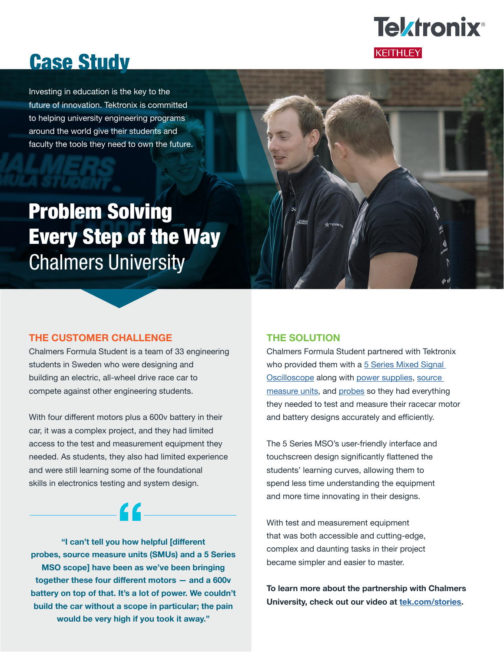

# Case Study

Investing in education is the key to the future of innovation. Tektronix is committed to helping university engineering programs around the world give their students and faculty the tools they need to own the future.

Problem Solving Every Step of the Way *Chalmers University*

## **THE CUSTOMER CHALLENGE**

Chalmers Formula Student is a team of 33 engineering students in Sweden who were designing and building an electric, all-wheel drive race car to compete against other engineering students.

With four different motors plus a 600v battery in their car, it was a complex project, and they had limited access to the test and measurement equipment they needed. As students, they also had limited experience and were still learning some of the foundational skills in electronics testing and system design.

**"I can't tell you how helpful [different probes, source measure units (SMUs) and a 5 Series MSO scope] have been as we've been bringing together these four different motors — and a 600v battery on top of that. It's a lot of power. We couldn't build the car without a scope in particular; the pain would be very high if you took it away."**

# **THE SOLUTION**

Chalmers Formula Student partnered with Tektronix who provided them with a 5 Series Mixed Signal [Oscilloscope](https://www.tek.com/oscilloscope/5-series-mso-mixed-signal-oscilloscope?pdfcode=edu-study-ChU) along with [power supplies](https://www.tek.com/dc-power-supply?pdfcode=edu-study-ChU), [source](https://www.tek.com/keithley-source-measure-units?pdfcode=edu-study-ChU)  [measure units,](https://www.tek.com/keithley-source-measure-units?pdfcode=edu-study-ChU) and [probes](https://www.tek.com/accessories?pdfcode=edu-study-ChU) so they had everything they needed to test and measure their racecar motor and battery designs accurately and efficiently.

The 5 Series MSO's user-friendly interface and touchscreen design significantly flattened the students' learning curves, allowing them to spend less time understanding the equipment and more time innovating in their designs.

With test and measurement equipment that was both accessible and cutting-edge, complex and daunting tasks in their project became simpler and easier to master.

**To learn more about the partnership with Chalmers University, check out our video at [tek.com/stories](https://www.tek.com/stories/problem-solving-every-step-way?pdfcode=edu-study-ChU).**